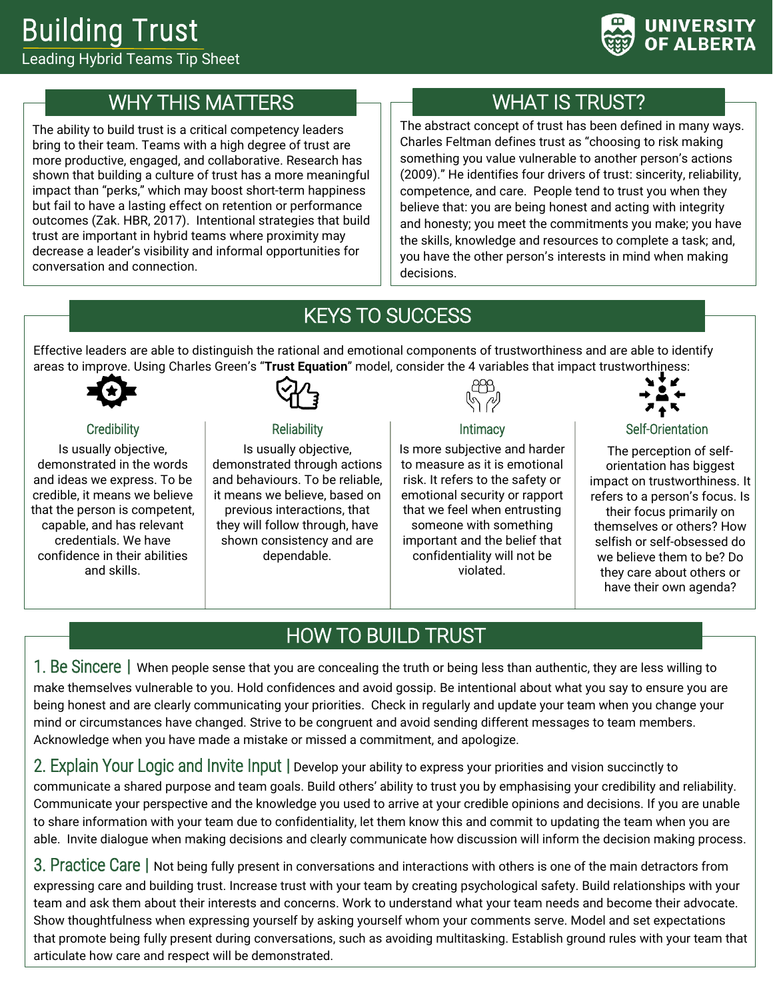

## WHY THIS MATTERS

The ability to build trust is a critical competency leaders bring to their team. Teams with a high degree of trust are more productive, engaged, and collaborative. Research has shown that building a culture of trust has a more meaningful impact than "perks," which may boost short-term happiness but fail to have a lasting effect on retention or performance outcomes (Zak. HBR, 2017). Intentional strategies that build trust are important in hybrid teams where proximity may decrease a leader's visibility and informal opportunities for conversation and connection.

# WHAT IS TRUST?

The abstract concept of trust has been defined in many ways. Charles Feltman defines trust as "choosing to risk making something you value vulnerable to another person's actions (2009)." He identifies four drivers of trust: sincerity, reliability, competence, and care. People tend to trust you when they believe that: you are being honest and acting with integrity and honesty; you meet the commitments you make; you have the skills, knowledge and resources to complete a task; and, you have the other person's interests in mind when making decisions.

# KEYS TO SUCCESS

Effective leaders are able to distinguish the rational and emotional components of trustworthiness and are able to identify areas to improve. Using Charles Green's "**Trust Equation**" model, consider the 4 variables that impact trustworthiness:



#### **Credibility**

Is usually objective, demonstrated in the words and ideas we express. To be credible, it means we believe that the person is competent, capable, and has relevant credentials. We have confidence in their abilities and skills.



#### **Reliability**

Is usually objective, demonstrated through actions and behaviours. To be reliable, it means we believe, based on previous interactions, that they will follow through, have shown consistency and are dependable.



**Intimacy** 

Is more subjective and harder to measure as it is emotional risk. It refers to the safety or emotional security or rapport that we feel when entrusting someone with something important and the belief that confidentiality will not be violated.



#### Self-Orientation

The perception of selforientation has biggest impact on trustworthiness. It refers to a person's focus. Is their focus primarily on themselves or others? How selfish or self-obsessed do we believe them to be? Do they care about others or have their own agenda?

# HOW TO BUILD TRUST

1. Be Sincere **|** When people sense that you are concealing the truth or being less than authentic, they are less willing to make themselves vulnerable to you. Hold confidences and avoid gossip. Be intentional about what you say to ensure you are being honest and are clearly communicating your priorities. Check in regularly and update your team when you change your mind or circumstances have changed. Strive to be congruent and avoid sending different messages to team members. Acknowledge when you have made a mistake or missed a commitment, and apologize.

2. Explain Your Logic and Invite Input **|** Develop your ability to express your priorities and vision succinctly to

communicate a shared purpose and team goals. Build others' ability to trust you by emphasising your credibility and reliability. Communicate your perspective and the knowledge you used to arrive at your credible opinions and decisions. If you are unable to share information with your team due to confidentiality, let them know this and commit to updating the team when you are able. Invite dialogue when making decisions and clearly communicate how discussion will inform the decision making process.

3. Practice Care **|** Not being fully present in conversations and interactions with others is one of the main detractors from expressing care and building trust. Increase trust with your team by creating psychological safety. Build relationships with your team and ask them about their interests and concerns. Work to understand what your team needs and become their advocate. Show thoughtfulness when expressing yourself by asking yourself whom your comments serve. Model and set expectations that promote being fully present during conversations, such as avoiding multitasking. Establish ground rules with your team that articulate how care and respect will be demonstrated.